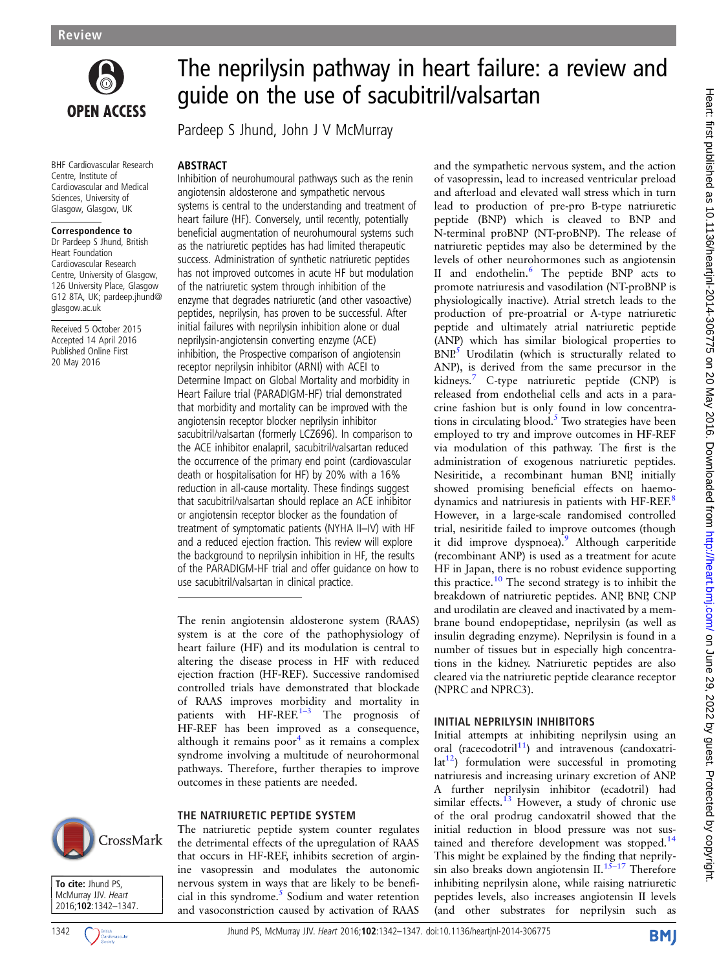

BHF Cardiovascular Research Centre, Institute of Cardiovascular and Medical Sciences, University of Glasgow, Glasgow, UK

#### Correspondence to

Dr Pardeep S Jhund, British Heart Foundation Cardiovascular Research Centre, University of Glasgow, 126 University Place, Glasgow G12 8TA, UK; pardeep.jhund@ glasgow.ac.uk

Received 5 October 2015 Accepted 14 April 2016 Published Online First 20 May 2016

# The neprilysin pathway in heart failure: a review and guide on the use of sacubitril/valsartan

Pardeep S Jhund, John J V McMurray

#### ABSTRACT

Inhibition of neurohumoural pathways such as the renin angiotensin aldosterone and sympathetic nervous systems is central to the understanding and treatment of heart failure (HF). Conversely, until recently, potentially beneficial augmentation of neurohumoural systems such as the natriuretic peptides has had limited therapeutic success. Administration of synthetic natriuretic peptides has not improved outcomes in acute HF but modulation of the natriuretic system through inhibition of the enzyme that degrades natriuretic (and other vasoactive) peptides, neprilysin, has proven to be successful. After initial failures with neprilysin inhibition alone or dual neprilysin-angiotensin converting enzyme (ACE) inhibition, the Prospective comparison of angiotensin receptor neprilysin inhibitor (ARNI) with ACEI to Determine Impact on Global Mortality and morbidity in Heart Failure trial (PARADIGM-HF) trial demonstrated that morbidity and mortality can be improved with the angiotensin receptor blocker neprilysin inhibitor sacubitril/valsartan (formerly LCZ696). In comparison to the ACE inhibitor enalapril, sacubitril/valsartan reduced the occurrence of the primary end point (cardiovascular death or hospitalisation for HF) by 20% with a 16% reduction in all-cause mortality. These findings suggest that sacubitril/valsartan should replace an ACE inhibitor or angiotensin receptor blocker as the foundation of treatment of symptomatic patients (NYHA II–IV) with HF and a reduced ejection fraction. This review will explore the background to neprilysin inhibition in HF, the results of the PARADIGM-HF trial and offer guidance on how to use sacubitril/valsartan in clinical practice.

The renin angiotensin aldosterone system (RAAS) system is at the core of the pathophysiology of heart failure (HF) and its modulation is central to altering the disease process in HF with reduced ejection fraction (HF-REF). Successive randomised controlled trials have demonstrated that blockade of RAAS improves morbidity and mortality in patients with  $HF-REF^{1-3}$  $HF-REF^{1-3}$  $HF-REF^{1-3}$  The prognosis of HF-REF has been improved as a consequence, although it remains poor<sup>[4](#page-5-0)</sup> as it remains a complex syndrome involving a multitude of neurohormonal pathways. Therefore, further therapies to improve outcomes in these patients are needed.

#### THE NATRIURETIC PEPTIDE SYSTEM

CrossMark

To cite: Jhund PS. McMurray JJV. Heart 2016;102:1342–1347.



The natriuretic peptide system counter regulates the detrimental effects of the upregulation of RAAS that occurs in HF-REF, inhibits secretion of arginine vasopressin and modulates the autonomic nervous system in ways that are likely to be beneficial in this syndrome. $5$  Sodium and water retention and vasoconstriction caused by activation of RAAS

and the sympathetic nervous system, and the action of vasopressin, lead to increased ventricular preload and afterload and elevated wall stress which in turn lead to production of pre-pro B-type natriuretic peptide (BNP) which is cleaved to BNP and N-terminal proBNP (NT-proBNP). The release of natriuretic peptides may also be determined by the levels of other neurohormones such as angiotensin II and endothelin.<sup>[6](#page-5-0)</sup> The peptide BNP acts to promote natriuresis and vasodilation (NT-proBNP is physiologically inactive). Atrial stretch leads to the production of pre-proatrial or A-type natriuretic peptide and ultimately atrial natriuretic peptide (ANP) which has similar biological properties to  $BNP<sup>5</sup>$  $BNP<sup>5</sup>$  $BNP<sup>5</sup>$  Urodilatin (which is structurally related to ANP), is derived from the same precursor in the kidneys.[7](#page-5-0) C-type natriuretic peptide (CNP) is released from endothelial cells and acts in a paracrine fashion but is only found in low concentrations in circulating blood. $<sup>5</sup>$  $<sup>5</sup>$  $<sup>5</sup>$  Two strategies have been</sup> employed to try and improve outcomes in HF-REF via modulation of this pathway. The first is the administration of exogenous natriuretic peptides. Nesiritide, a recombinant human BNP, initially showed promising beneficial effects on haemo-dynamics and natriuresis in patients with HF-REF.<sup>[8](#page-5-0)</sup> However, in a large-scale randomised controlled trial, nesiritide failed to improve outcomes (though it did improve dyspnoea).<sup>[9](#page-5-0)</sup> Although carperitide (recombinant ANP) is used as a treatment for acute HF in Japan, there is no robust evidence supporting this practice.<sup>[10](#page-5-0)</sup> The second strategy is to inhibit the breakdown of natriuretic peptides. ANP, BNP, CNP and urodilatin are cleaved and inactivated by a membrane bound endopeptidase, neprilysin (as well as insulin degrading enzyme). Neprilysin is found in a number of tissues but in especially high concentrations in the kidney. Natriuretic peptides are also cleared via the natriuretic peptide clearance receptor (NPRC and NPRC3).

#### INITIAL NEPRILYSIN INHIBITORS

Initial attempts at inhibiting neprilysin using an oral (racecodotril $11$ ) and intravenous (candoxatri- $lat^{12}$  $lat^{12}$  $lat^{12}$ ) formulation were successful in promoting natriuresis and increasing urinary excretion of ANP. A further neprilysin inhibitor (ecadotril) had similar effects. $13$  However, a study of chronic use of the oral prodrug candoxatril showed that the initial reduction in blood pressure was not sus-tained and therefore development was stopped.<sup>[14](#page-5-0)</sup> This might be explained by the finding that neprilysin also breaks down angiotensin II. $15-17$  Therefore inhibiting neprilysin alone, while raising natriuretic peptides levels, also increases angiotensin II levels (and other substrates for neprilysin such as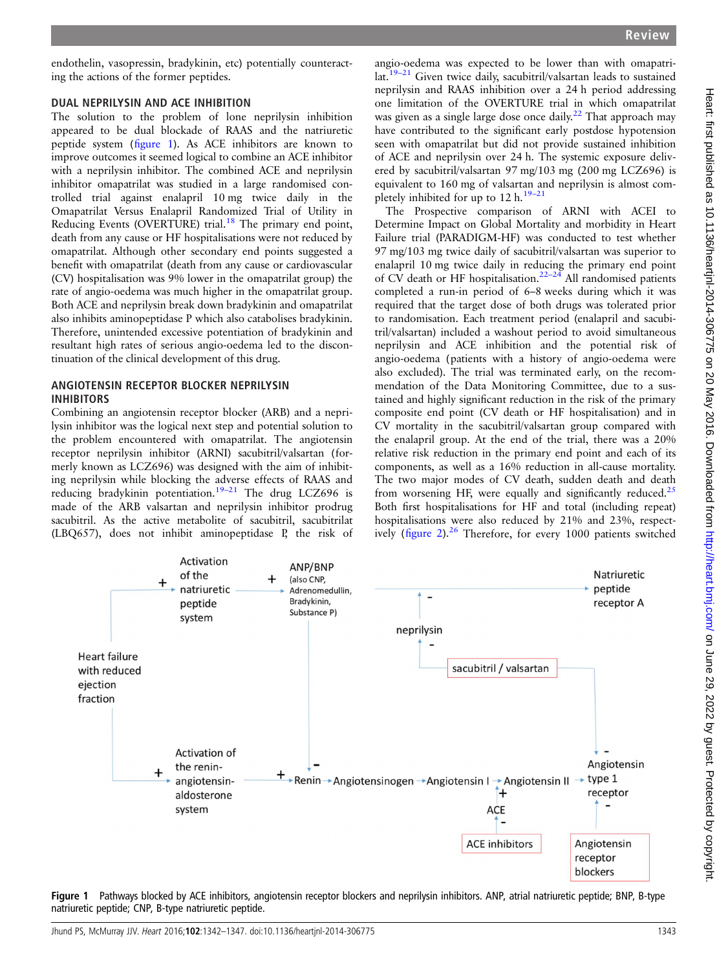Heart: first published as 10.1136/heartjnl-2014-306775 on 20 May 2016. Downloaded from http://heart.bmj.com/ on June 29, 2022 by guest. Protected by copyright Heart: first published as 10.1136/heartjnl-2014-306775 on 20 May 2016. Downloaded from <http://heart.bmj.com/> on June 29, 2022 by guest. Protected by copyright.

endothelin, vasopressin, bradykinin, etc) potentially counteracting the actions of the former peptides.

### DUAL NEPRILYSIN AND ACE INHIBITION

The solution to the problem of lone neprilysin inhibition appeared to be dual blockade of RAAS and the natriuretic peptide system (figure 1). As ACE inhibitors are known to improve outcomes it seemed logical to combine an ACE inhibitor with a neprilysin inhibitor. The combined ACE and neprilysin inhibitor omapatrilat was studied in a large randomised controlled trial against enalapril 10 mg twice daily in the Omapatrilat Versus Enalapril Randomized Trial of Utility in Reducing Events (OVERTURE) trial.<sup>[18](#page-5-0)</sup> The primary end point, death from any cause or HF hospitalisations were not reduced by omapatrilat. Although other secondary end points suggested a benefit with omapatrilat (death from any cause or cardiovascular (CV) hospitalisation was 9% lower in the omapatrilat group) the rate of angio-oedema was much higher in the omapatrilat group. Both ACE and neprilysin break down bradykinin and omapatrilat also inhibits aminopeptidase P which also catabolises bradykinin. Therefore, unintended excessive potentiation of bradykinin and resultant high rates of serious angio-oedema led to the discontinuation of the clinical development of this drug.

### ANGIOTENSIN RECEPTOR BLOCKER NEPRILYSIN INHIBITORS

Combining an angiotensin receptor blocker (ARB) and a neprilysin inhibitor was the logical next step and potential solution to the problem encountered with omapatrilat. The angiotensin receptor neprilysin inhibitor (ARNI) sacubitril/valsartan (formerly known as LCZ696) was designed with the aim of inhibiting neprilysin while blocking the adverse effects of RAAS and reducing bradykinin potentiation.[19](#page-5-0)–<sup>21</sup> The drug LCZ696 is made of the ARB valsartan and neprilysin inhibitor prodrug sacubitril. As the active metabolite of sacubitril, sacubitrilat (LBQ657), does not inhibit aminopeptidase P, the risk of

angio-oedema was expected to be lower than with omapatri-lat.<sup>[19](#page-5-0)-21</sup> Given twice daily, sacubitril/valsartan leads to sustained neprilysin and RAAS inhibition over a 24 h period addressing one limitation of the OVERTURE trial in which omapatrilat was given as a single large dose once daily.<sup>[22](#page-5-0)</sup> That approach may have contributed to the significant early postdose hypotension seen with omapatrilat but did not provide sustained inhibition of ACE and neprilysin over 24 h. The systemic exposure delivered by sacubitril/valsartan 97 mg/103 mg (200 mg LCZ696) is equivalent to 160 mg of valsartan and neprilysin is almost com-pletely inhibited for up to 12 h.<sup>[19](#page-5-0)–21</sup>

The Prospective comparison of ARNI with ACEI to Determine Impact on Global Mortality and morbidity in Heart Failure trial (PARADIGM-HF) was conducted to test whether 97 mg/103 mg twice daily of sacubitril/valsartan was superior to enalapril 10 mg twice daily in reducing the primary end point of CV death or HF hospitalisation.<sup>22-24</sup> All randomised patients completed a run-in period of 6–8 weeks during which it was required that the target dose of both drugs was tolerated prior to randomisation. Each treatment period (enalapril and sacubitril/valsartan) included a washout period to avoid simultaneous neprilysin and ACE inhibition and the potential risk of angio-oedema (patients with a history of angio-oedema were also excluded). The trial was terminated early, on the recommendation of the Data Monitoring Committee, due to a sustained and highly significant reduction in the risk of the primary composite end point (CV death or HF hospitalisation) and in CV mortality in the sacubitril/valsartan group compared with the enalapril group. At the end of the trial, there was a 20% relative risk reduction in the primary end point and each of its components, as well as a 16% reduction in all-cause mortality. The two major modes of CV death, sudden death and death from worsening HF, were equally and significantly reduced.<sup>[25](#page-5-0)</sup> Both first hospitalisations for HF and total (including repeat) hospitalisations were also reduced by 21% and 23%, respectively (fi[gure 2](#page-2-0)).<sup>[26](#page-5-0)</sup> Therefore, for every 1000 patients switched



Figure 1 Pathways blocked by ACE inhibitors, angiotensin receptor blockers and neprilysin inhibitors. ANP, atrial natriuretic peptide; BNP, B-type natriuretic peptide; CNP, B-type natriuretic peptide.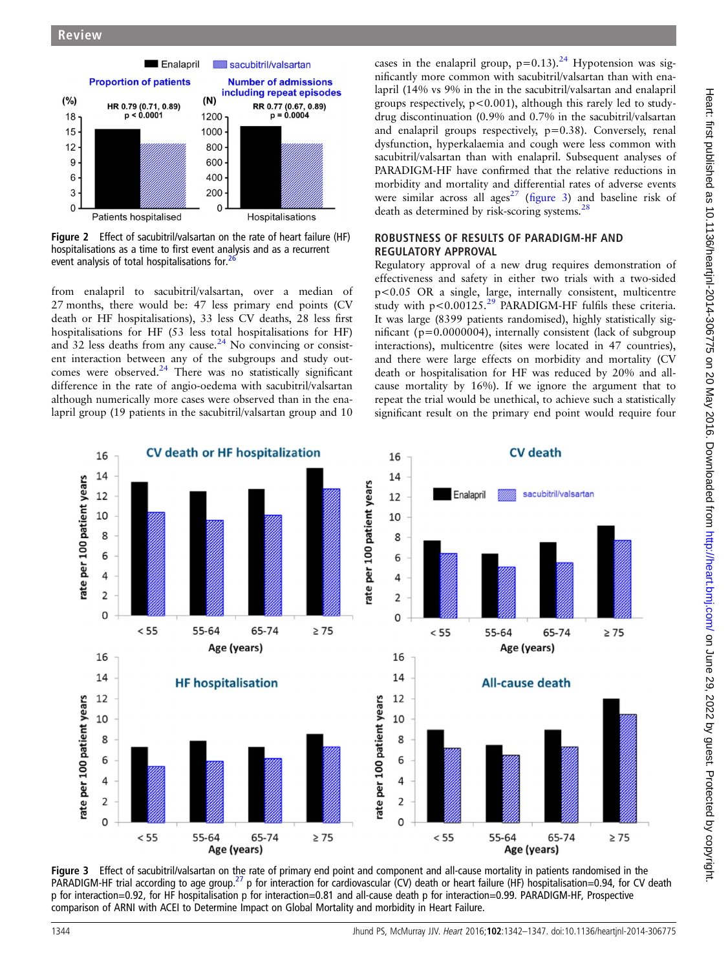<span id="page-2-0"></span>

Figure 2 Effect of sacubitril/valsartan on the rate of heart failure (HF) hospitalisations as a time to first event analysis and as a recurrent event analysis of total hospitalisations for. $26$ 

from enalapril to sacubitril/valsartan, over a median of 27 months, there would be: 47 less primary end points (CV death or HF hospitalisations), 33 less CV deaths, 28 less first hospitalisations for HF (53 less total hospitalisations for HF) and 32 less deaths from any cause.<sup>[24](#page-5-0)</sup> No convincing or consistent interaction between any of the subgroups and study outcomes were observed. $24$  There was no statistically significant difference in the rate of angio-oedema with sacubitril/valsartan although numerically more cases were observed than in the enalapril group (19 patients in the sacubitril/valsartan group and 10 cases in the enalapril group,  $p=0.13$ ).<sup>[24](#page-5-0)</sup> Hypotension was significantly more common with sacubitril/valsartan than with enalapril (14% vs 9% in the in the sacubitril/valsartan and enalapril groups respectively,  $p<0.001$ ), although this rarely led to studydrug discontinuation (0.9% and 0.7% in the sacubitril/valsartan and enalapril groups respectively, p=0.38). Conversely, renal dysfunction, hyperkalaemia and cough were less common with sacubitril/valsartan than with enalapril. Subsequent analyses of PARADIGM-HF have confirmed that the relative reductions in morbidity and mortality and differential rates of adverse events were similar across all ages<sup>[27](#page-5-0)</sup> (figure 3) and baseline risk of death as determined by risk-scoring systems.<sup>[28](#page-5-0)</sup>

#### ROBUSTNESS OF RESULTS OF PARADIGM-HF AND REGULATORY APPROVAL

Regulatory approval of a new drug requires demonstration of effectiveness and safety in either two trials with a two-sided p<0.05 OR a single, large, internally consistent, multicentre study with  $p < 0.00125$ .<sup>[29](#page-5-0)</sup> PARADIGM-HF fulfils these criteria. It was large (8399 patients randomised), highly statistically significant ( $p=0.0000004$ ), internally consistent (lack of subgroup interactions), multicentre (sites were located in 47 countries), and there were large effects on morbidity and mortality (CV death or hospitalisation for HF was reduced by 20% and allcause mortality by 16%). If we ignore the argument that to repeat the trial would be unethical, to achieve such a statistically significant result on the primary end point would require four



Figure 3 Effect of sacubitril/valsartan on the rate of primary end point and component and all-cause mortality in patients randomised in the PARADIGM-HF trial according to age group.<sup>[27](#page-5-0)</sup> p for interaction for cardiovascular (CV) death or heart failure (HF) hospitalisation=0.94, for CV death p for interaction=0.92, for HF hospitalisation p for interaction=0.81 and all-cause death p for interaction=0.99. PARADIGM-HF, Prospective comparison of ARNI with ACEI to Determine Impact on Global Mortality and morbidity in Heart Failure.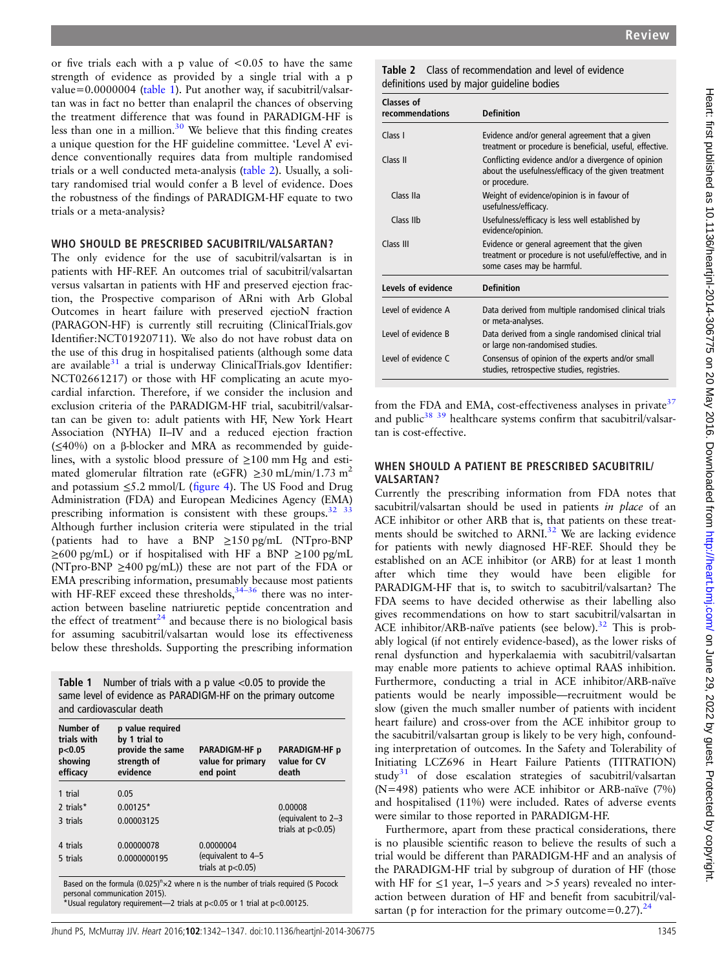or five trials each with a p value of  $< 0.05$  to have the same strength of evidence as provided by a single trial with a p value=0.0000004 (table 1). Put another way, if sacubitril/valsartan was in fact no better than enalapril the chances of observing the treatment difference that was found in PARADIGM-HF is less than one in a million. $30$  We believe that this finding creates a unique question for the HF guideline committee. 'Level A' evidence conventionally requires data from multiple randomised trials or a well conducted meta-analysis (table 2). Usually, a solitary randomised trial would confer a B level of evidence. Does the robustness of the findings of PARADIGM-HF equate to two trials or a meta-analysis?

#### WHO SHOULD BE PRESCRIBED SACUBITRIL/VALSARTAN?

The only evidence for the use of sacubitril/valsartan is in patients with HF-REF. An outcomes trial of sacubitril/valsartan versus valsartan in patients with HF and preserved ejection fraction, the Prospective comparison of ARni with Arb Global Outcomes in heart failure with preserved ejectioN fraction (PARAGON-HF) is currently still recruiting (ClinicalTrials.gov Identifier:NCT01920711). We also do not have robust data on the use of this drug in hospitalised patients (although some data are available $31$  a trial is underway ClinicalTrials.gov Identifier: NCT02661217) or those with HF complicating an acute myocardial infarction. Therefore, if we consider the inclusion and exclusion criteria of the PARADIGM-HF trial, sacubitril/valsartan can be given to: adult patients with HF, New York Heart Association (NYHA) II–IV and a reduced ejection fraction (≤40%) on a β-blocker and MRA as recommended by guidelines, with a systolic blood pressure of ≥100 mm Hg and estimated glomerular filtration rate (eGFR)  $\geq$ 30 mL/min/1.73 m<sup>2</sup> and potassium  $\leq 5.2$  mmol/L (fi[gure 4\)](#page-4-0). The US Food and Drug Administration (FDA) and European Medicines Agency (EMA) prescribing information is consistent with these groups.  $32^{3}$ Although further inclusion criteria were stipulated in the trial (patients had to have a BNP  $\geq$ 150 pg/mL (NTpro-BNP  $\geq 600$  pg/mL) or if hospitalised with HF a BNP  $\geq 100$  pg/mL (NTpro-BNP  $\geq$ 400 pg/mL)) these are not part of the FDA or EMA prescribing information, presumably because most patients with HF-REF exceed these thresholds,  $34-36$  $34-36$  there was no interaction between baseline natriuretic peptide concentration and the effect of treatment<sup>24</sup> and because there is no biological basis for assuming sacubitril/valsartan would lose its effectiveness below these thresholds. Supporting the prescribing information

|                                                              | <b>Table 1</b> Number of trials with a p value $\langle 0.05 \rangle$ to provide the |  |  |  |  |
|--------------------------------------------------------------|--------------------------------------------------------------------------------------|--|--|--|--|
| same level of evidence as PARADIGM-HF on the primary outcome |                                                                                      |  |  |  |  |
|                                                              | and cardiovascular death                                                             |  |  |  |  |

| Number of<br>trials with<br>p<0.05<br>showing<br>efficacy | p value required<br>by 1 trial to<br>provide the same<br>strength of<br>evidence | PARADIGM-HF p<br>value for primary<br>end point | PARADIGM-HF p<br>value for CV<br>death     |
|-----------------------------------------------------------|----------------------------------------------------------------------------------|-------------------------------------------------|--------------------------------------------|
| 1 trial                                                   | 0.05                                                                             |                                                 |                                            |
| 2 trials*                                                 | $0.00125*$                                                                       |                                                 | 0.00008                                    |
| 3 trials                                                  | 0.00003125                                                                       |                                                 | (equivalent to 2-3<br>trials at $p<0.05$ ) |
| 4 trials                                                  | 0.00000078                                                                       | 0.0000004                                       |                                            |
| 5 trials                                                  | 0.0000000195                                                                     | (equivalent to 4-5<br>trials at $p<0.05$ )      |                                            |

Based on the formula  $(0.025)^n \times 2$  where n is the number of trials required (S Pocock personal communication 2015). \*Usual regulatory requirement—2 trials at p<0.05 or 1 trial at p<0.00125.

| <b>Table 2</b> Class of recommendation and level of evidence |  |  |  |  |  |
|--------------------------------------------------------------|--|--|--|--|--|
| definitions used by major guideline bodies                   |  |  |  |  |  |

| Classes of          |                                                                                                                                      |  |  |  |
|---------------------|--------------------------------------------------------------------------------------------------------------------------------------|--|--|--|
| recommendations     | <b>Definition</b>                                                                                                                    |  |  |  |
| Class I             | Evidence and/or general agreement that a given<br>treatment or procedure is beneficial, useful, effective.                           |  |  |  |
| Class II            | Conflicting evidence and/or a divergence of opinion<br>about the usefulness/efficacy of the given treatment<br>or procedure.         |  |  |  |
| Class IIa           | Weight of evidence/opinion is in favour of<br>usefulness/efficacy.                                                                   |  |  |  |
| Class IIb           | Usefulness/efficacy is less well established by<br>evidence/opinion.                                                                 |  |  |  |
| Class III           | Evidence or general agreement that the given<br>treatment or procedure is not useful/effective, and in<br>some cases may be harmful. |  |  |  |
| Levels of evidence  | <b>Definition</b>                                                                                                                    |  |  |  |
| Level of evidence A | Data derived from multiple randomised clinical trials<br>or meta-analyses.                                                           |  |  |  |
| Level of evidence B | Data derived from a single randomised clinical trial<br>or large non-randomised studies.                                             |  |  |  |
| Level of evidence C | Consensus of opinion of the experts and/or small<br>studies, retrospective studies, registries.                                      |  |  |  |

from the FDA and EMA, cost-effectiveness analyses in private<sup>[37](#page-5-0)</sup> and public<sup>38</sup> 39 healthcare systems confirm that sacubitril/valsartan is cost-effective.

#### WHEN SHOULD A PATIENT BE PRESCRIBED SACUBITRIL/ VALSARTAN?

Currently the prescribing information from FDA notes that sacubitril/valsartan should be used in patients in place of an ACE inhibitor or other ARB that is, that patients on these treatments should be switched to  $ARNI<sup>32</sup>$  We are lacking evidence for patients with newly diagnosed HF-REF. Should they be established on an ACE inhibitor (or ARB) for at least 1 month after which time they would have been eligible for PARADIGM-HF that is, to switch to sacubitril/valsartan? The FDA seems to have decided otherwise as their labelling also gives recommendations on how to start sacubitril/valsartan in ACE inhibitor/ARB-naïve patients (see below).<sup>[32](#page-5-0)</sup> This is probably logical (if not entirely evidence-based), as the lower risks of renal dysfunction and hyperkalaemia with sacubitril/valsartan may enable more patients to achieve optimal RAAS inhibition. Furthermore, conducting a trial in ACE inhibitor/ARB-naïve patients would be nearly impossible—recruitment would be slow (given the much smaller number of patients with incident heart failure) and cross-over from the ACE inhibitor group to the sacubitril/valsartan group is likely to be very high, confounding interpretation of outcomes. In the Safety and Tolerability of Initiating LCZ696 in Heart Failure Patients (TITRATION) study<sup>[31](#page-5-0)</sup> of dose escalation strategies of sacubitril/valsartan (N=498) patients who were ACE inhibitor or ARB-naïve (7%) and hospitalised (11%) were included. Rates of adverse events were similar to those reported in PARADIGM-HF.

Furthermore, apart from these practical considerations, there is no plausible scientific reason to believe the results of such a trial would be different than PARADIGM-HF and an analysis of the PARADIGM-HF trial by subgroup of duration of HF (those with HF for  $\leq$ 1 year, 1–5 years and >5 years) revealed no interaction between duration of HF and benefit from sacubitril/valsartan (p for interaction for the primary outcome=0.27).<sup>24</sup>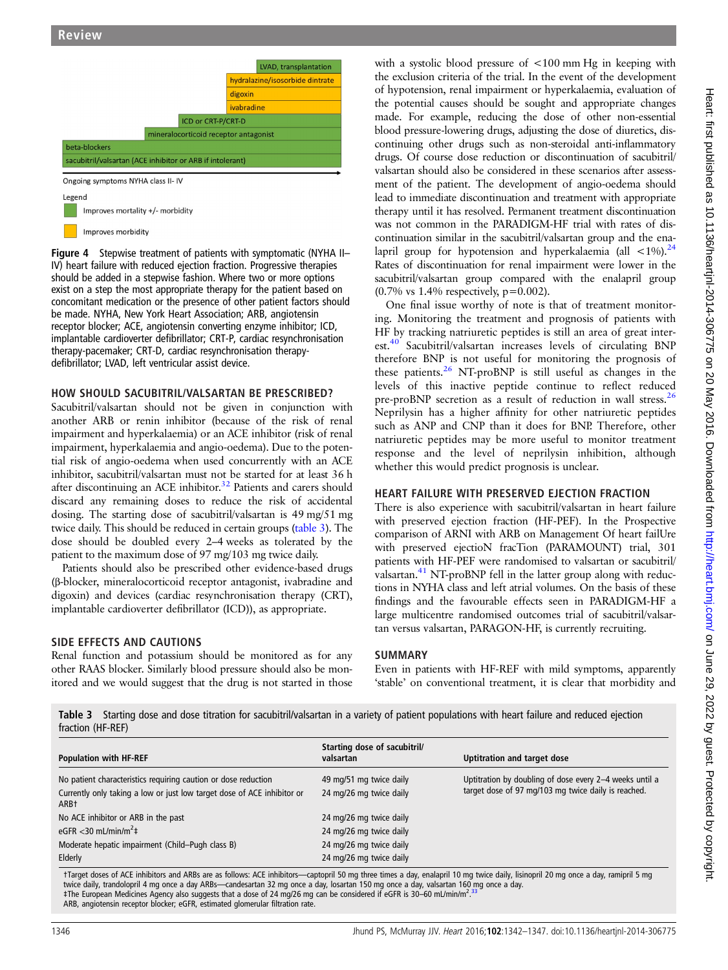<span id="page-4-0"></span>

Improves morbidity

Figure 4 Stepwise treatment of patients with symptomatic (NYHA II– IV) heart failure with reduced ejection fraction. Progressive therapies should be added in a stepwise fashion. Where two or more options exist on a step the most appropriate therapy for the patient based on concomitant medication or the presence of other patient factors should be made. NYHA, New York Heart Association; ARB, angiotensin receptor blocker; ACE, angiotensin converting enzyme inhibitor; ICD, implantable cardioverter defibrillator; CRT-P, cardiac resynchronisation therapy-pacemaker; CRT-D, cardiac resynchronisation therapydefibrillator; LVAD, left ventricular assist device.

HOW SHOULD SACUBITRIL/VALSARTAN BE PRESCRIBED?

Sacubitril/valsartan should not be given in conjunction with another ARB or renin inhibitor (because of the risk of renal impairment and hyperkalaemia) or an ACE inhibitor (risk of renal impairment, hyperkalaemia and angio-oedema). Due to the potential risk of angio-oedema when used concurrently with an ACE inhibitor, sacubitril/valsartan must not be started for at least 36 h after discontinuing an ACE inhibitor.<sup>32</sup> Patients and carers should discard any remaining doses to reduce the risk of accidental dosing. The starting dose of sacubitril/valsartan is 49 mg/51 mg twice daily. This should be reduced in certain groups (table 3). The dose should be doubled every 2–4 weeks as tolerated by the patient to the maximum dose of 97 mg/103 mg twice daily.

Patients should also be prescribed other evidence-based drugs (β-blocker, mineralocorticoid receptor antagonist, ivabradine and digoxin) and devices (cardiac resynchronisation therapy (CRT), implantable cardioverter defibrillator (ICD)), as appropriate.

### SIDE EFFECTS AND CAUTIONS

Renal function and potassium should be monitored as for any other RAAS blocker. Similarly blood pressure should also be monitored and we would suggest that the drug is not started in those

with a systolic blood pressure of <100 mm Hg in keeping with the exclusion criteria of the trial. In the event of the development of hypotension, renal impairment or hyperkalaemia, evaluation of the potential causes should be sought and appropriate changes made. For example, reducing the dose of other non-essential blood pressure-lowering drugs, adjusting the dose of diuretics, discontinuing other drugs such as non-steroidal anti-inflammatory drugs. Of course dose reduction or discontinuation of sacubitril/ valsartan should also be considered in these scenarios after assessment of the patient. The development of angio-oedema should lead to immediate discontinuation and treatment with appropriate therapy until it has resolved. Permanent treatment discontinuation was not common in the PARADIGM-HF trial with rates of discontinuation similar in the sacubitril/valsartan group and the enalapril group for hypotension and hyperkalaemia (all  $\lt$ 1%).<sup>24</sup> Rates of discontinuation for renal impairment were lower in the sacubitril/valsartan group compared with the enalapril group (0.7% vs 1.4% respectively, p=0.002).

One final issue worthy of note is that of treatment monitoring. Monitoring the treatment and prognosis of patients with HF by tracking natriuretic peptides is still an area of great interest.[40](#page-5-0) Sacubitril/valsartan increases levels of circulating BNP therefore BNP is not useful for monitoring the prognosis of these patients. $26$  NT-proBNP is still useful as changes in the levels of this inactive peptide continue to reflect reduced pre-proBNP secretion as a result of reduction in wall stress.<sup>[26](#page-5-0)</sup> Neprilysin has a higher affinity for other natriuretic peptides such as ANP and CNP than it does for BNP. Therefore, other natriuretic peptides may be more useful to monitor treatment response and the level of neprilysin inhibition, although whether this would predict prognosis is unclear.

## HEART FAILURE WITH PRESERVED EJECTION FRACTION

There is also experience with sacubitril/valsartan in heart failure with preserved ejection fraction (HF-PEF). In the Prospective comparison of ARNI with ARB on Management Of heart failUre with preserved ejectioN fracTion (PARAMOUNT) trial, 301 patients with HF-PEF were randomised to valsartan or sacubitril/ valsartan[.41](#page-5-0) NT-proBNP fell in the latter group along with reductions in NYHA class and left atrial volumes. On the basis of these findings and the favourable effects seen in PARADIGM-HF a large multicentre randomised outcomes trial of sacubitril/valsartan versus valsartan, PARAGON-HF, is currently recruiting.

### SUMMARY

Even in patients with HF-REF with mild symptoms, apparently 'stable' on conventional treatment, it is clear that morbidity and

Table 3 Starting dose and dose titration for sacubitril/valsartan in a variety of patient populations with heart failure and reduced ejection fraction (HF-REF)

| <b>Population with HF-REF</b>                                                   | Starting dose of sacubitril/<br>valsartan | Uptitration and target dose                             |  |  |  |
|---------------------------------------------------------------------------------|-------------------------------------------|---------------------------------------------------------|--|--|--|
| No patient characteristics requiring caution or dose reduction                  | 49 mg/51 mg twice daily                   | Uptitration by doubling of dose every 2-4 weeks until a |  |  |  |
| Currently only taking a low or just low target dose of ACE inhibitor or<br>ARB+ | 24 mg/26 mg twice daily                   | target dose of 97 mg/103 mg twice daily is reached.     |  |  |  |
| No ACE inhibitor or ARB in the past                                             | 24 mg/26 mg twice daily                   |                                                         |  |  |  |
| eGFR < 30 mL/min/m <sup>2</sup> $\pm$                                           | 24 mg/26 mg twice daily                   |                                                         |  |  |  |
| Moderate hepatic impairment (Child-Pugh class B)                                | 24 mg/26 mg twice daily                   |                                                         |  |  |  |
| Elderly                                                                         | 24 mg/26 mg twice daily                   |                                                         |  |  |  |

†Target doses of ACE inhibitors and ARBs are as follows: ACE inhibitors—captopril 50 mg three times a day, enalapril 10 mg twice daily, lisinopril 20 mg once a day, ramipril 5 mg twice daily, trandolopril 4 mg once a day ARBs—candesartan 32 mg once a day, losartan 150 mg once a day, valsartan 160 mg once a day.<br>The European Medicines Agency also suggests that a dose of 24 mg/26 mg can be considered ‡The European Medicines Agency also suggests that a dose of 24 mg/26 mg can be considered if eGFR is 30–60 mL/min/m<sup>2</sup>. ARB, angiotensin receptor blocker; eGFR, estimated glomerular filtration rate.